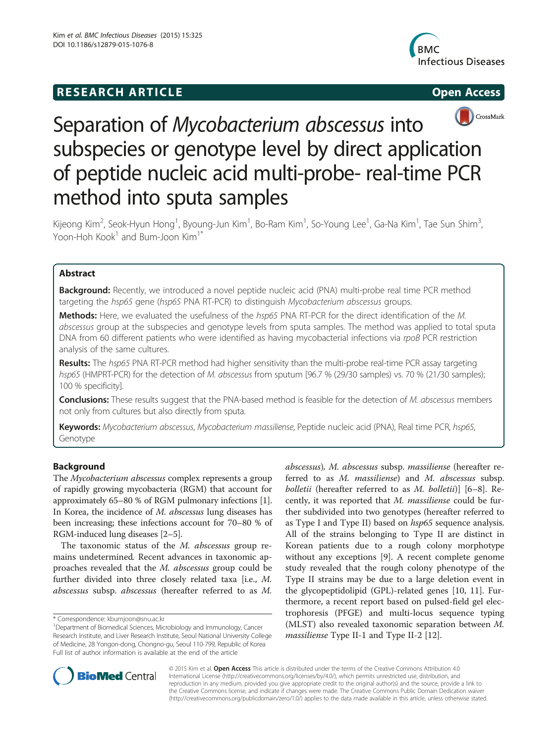## **RESEARCH ARTICLE Example 2014 12:30 The SEAR CHA RESEARCH ARTICLE**





# Separation of Mycobacterium abscessus into subspecies or genotype level by direct application of peptide nucleic acid multi-probe- real-time PCR method into sputa samples

Kijeong Kim<sup>2</sup>, Seok-Hyun Hong<sup>1</sup>, Byoung-Jun Kim<sup>1</sup>, Bo-Ram Kim<sup>1</sup>, So-Young Lee<sup>1</sup>, Ga-Na Kim<sup>1</sup>, Tae Sun Shim<sup>3</sup> , Yoon-Hoh Kook $1$  and Bum-Joon Kim $1^*$ 

## Abstract

Background: Recently, we introduced a novel peptide nucleic acid (PNA) multi-probe real time PCR method targeting the hsp65 gene (hsp65 PNA RT-PCR) to distinguish Mycobacterium abscessus groups.

Methods: Here, we evaluated the usefulness of the hsp65 PNA RT-PCR for the direct identification of the M. abscessus group at the subspecies and genotype levels from sputa samples. The method was applied to total sputa DNA from 60 different patients who were identified as having mycobacterial infections via rpoB PCR restriction analysis of the same cultures.

Results: The hsp65 PNA RT-PCR method had higher sensitivity than the multi-probe real-time PCR assay targeting hsp65 (HMPRT-PCR) for the detection of M. abscessus from sputum [96.7 % (29/30 samples) vs. 70 % (21/30 samples); 100 % specificity].

Conclusions: These results suggest that the PNA-based method is feasible for the detection of M. abscessus members not only from cultures but also directly from sputa.

Keywords: Mycobacterium abscessus, Mycobacterium massiliense, Peptide nucleic acid (PNA), Real time PCR, hsp65, Genotype

## Background

The Mycobacterium abscessus complex represents a group of rapidly growing mycobacteria (RGM) that account for approximately 65–80 % of RGM pulmonary infections [[1](#page-6-0)]. In Korea, the incidence of M. abscessus lung diseases has been increasing; these infections account for 70–80 % of RGM-induced lung diseases [\[2](#page-6-0)–[5\]](#page-6-0).

The taxonomic status of the *M. abscessus* group remains undetermined. Recent advances in taxonomic approaches revealed that the M. abscessus group could be further divided into three closely related taxa [i.e., M. abscessus subsp. abscessus (hereafter referred to as M.

\* Correspondence: [kbumjoon@snu.ac.kr](mailto:kbumjoon@snu.ac.kr) <sup>1</sup>

abscessus), M. abscessus subsp. massiliense (hereafter referred to as M. massiliense) and M. abscessus subsp. bolletii (hereafter referred to as M. bolletii)] [\[6](#page-6-0)–[8\]](#page-6-0). Recently, it was reported that M. massiliense could be further subdivided into two genotypes (hereafter referred to as Type I and Type II) based on hsp65 sequence analysis. All of the strains belonging to Type II are distinct in Korean patients due to a rough colony morphotype without any exceptions [\[9](#page-6-0)]. A recent complete genome study revealed that the rough colony phenotype of the Type II strains may be due to a large deletion event in the glycopeptidolipid (GPL)-related genes [[10, 11\]](#page-6-0). Furthermore, a recent report based on pulsed-field gel electrophoresis (PFGE) and multi-locus sequence typing (MLST) also revealed taxonomic separation between M. massiliense Type II-1 and Type II-2 [[12\]](#page-6-0).



© 2015 Kim et al. Open Access This article is distributed under the terms of the Creative Commons Attribution 4.0 International License [\(http://creativecommons.org/licenses/by/4.0/](http://creativecommons.org/licenses/by/4.0/)), which permits unrestricted use, distribution, and reproduction in any medium, provided you give appropriate credit to the original author(s) and the source, provide a link to the Creative Commons license, and indicate if changes were made. The Creative Commons Public Domain Dedication waiver [\(http://creativecommons.org/publicdomain/zero/1.0/](http://creativecommons.org/publicdomain/zero/1.0/)) applies to the data made available in this article, unless otherwise stated.

Department of Biomedical Sciences, Microbiology and Immunology, Cancer Research Institute, and Liver Research Institute, Seoul National University College of Medicine, 28 Yongon-dong, Chongno-gu, Seoul 110-799, Republic of Korea Full list of author information is available at the end of the article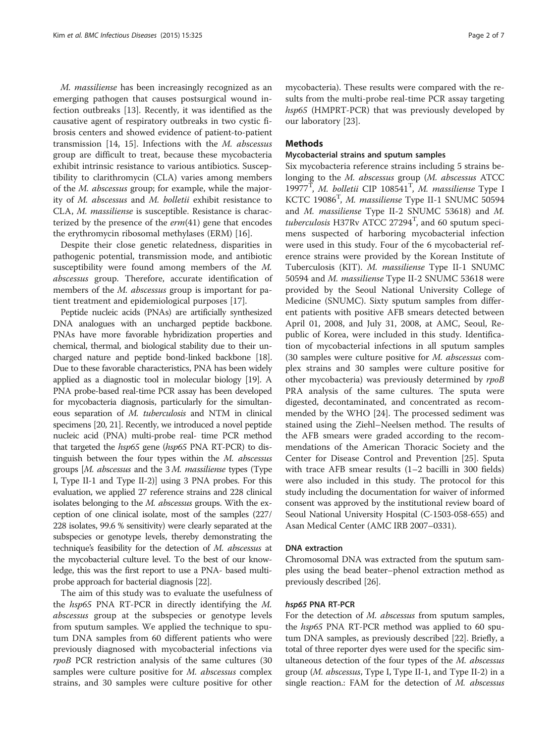M. massiliense has been increasingly recognized as an emerging pathogen that causes postsurgical wound infection outbreaks [\[13](#page-6-0)]. Recently, it was identified as the causative agent of respiratory outbreaks in two cystic fibrosis centers and showed evidence of patient-to-patient transmission [\[14](#page-6-0), [15\]](#page-6-0). Infections with the M. abscessus group are difficult to treat, because these mycobacteria exhibit intrinsic resistance to various antibiotics. Susceptibility to clarithromycin (CLA) varies among members of the M. abscessus group; for example, while the majority of M. abscessus and M. bolletii exhibit resistance to CLA, M. massiliense is susceptible. Resistance is characterized by the presence of the  $erm(41)$  gene that encodes the erythromycin ribosomal methylases (ERM) [\[16](#page-6-0)].

Despite their close genetic relatedness, disparities in pathogenic potential, transmission mode, and antibiotic susceptibility were found among members of the M. abscessus group. Therefore, accurate identification of members of the *M. abscessus* group is important for patient treatment and epidemiological purposes [[17\]](#page-6-0).

Peptide nucleic acids (PNAs) are artificially synthesized DNA analogues with an uncharged peptide backbone. PNAs have more favorable hybridization properties and chemical, thermal, and biological stability due to their uncharged nature and peptide bond-linked backbone [\[18](#page-6-0)]. Due to these favorable characteristics, PNA has been widely applied as a diagnostic tool in molecular biology [[19](#page-6-0)]. A PNA probe-based real-time PCR assay has been developed for mycobacteria diagnosis, particularly for the simultaneous separation of M. tuberculosis and NTM in clinical specimens [[20](#page-6-0), [21](#page-6-0)]. Recently, we introduced a novel peptide nucleic acid (PNA) multi-probe real- time PCR method that targeted the hsp65 gene (hsp65 PNA RT-PCR) to distinguish between the four types within the M. abscessus groups [M. abscessus and the 3 M. massiliense types (Type I, Type II-1 and Type II-2)] using 3 PNA probes. For this evaluation, we applied 27 reference strains and 228 clinical isolates belonging to the M. abscessus groups. With the exception of one clinical isolate, most of the samples (227/ 228 isolates, 99.6 % sensitivity) were clearly separated at the subspecies or genotype levels, thereby demonstrating the technique's feasibility for the detection of M. abscessus at the mycobacterial culture level. To the best of our knowledge, this was the first report to use a PNA- based multiprobe approach for bacterial diagnosis [[22\]](#page-6-0).

The aim of this study was to evaluate the usefulness of the hsp65 PNA RT-PCR in directly identifying the M. abscessus group at the subspecies or genotype levels from sputum samples. We applied the technique to sputum DNA samples from 60 different patients who were previously diagnosed with mycobacterial infections via rpoB PCR restriction analysis of the same cultures (30 samples were culture positive for *M. abscessus* complex strains, and 30 samples were culture positive for other

mycobacteria). These results were compared with the results from the multi-probe real-time PCR assay targeting hsp65 (HMPRT-PCR) that was previously developed by our laboratory [[23](#page-6-0)].

## Methods

## Mycobacterial strains and sputum samples

Six mycobacteria reference strains including 5 strains belonging to the M. abscessus group (M. abscessus ATCC 19977<sup>T</sup>, M. bolletii CIP 108541<sup>T</sup>, M. massiliense Type I<br>KCTC 19086<sup>T</sup> M. massiliense Type II-1 SNIJMC 50594 KCTC 19086<sup>T</sup>, *M. massiliense* Type II-1 SNUMC 50594<br>and *M. massiliense* Type II-2 SNUMC 53618) and *M* and M. massiliense Type II-2 SNUMC 53618) and M. tuberculosis H37Rv ATCC 27294<sup>T</sup>, and 60 sputum speci-<br>mens, suspected, of barboring, mycobacterial, infection mens suspected of harboring mycobacterial infection were used in this study. Four of the 6 mycobacterial reference strains were provided by the Korean Institute of Tuberculosis (KIT). M. massiliense Type II-1 SNUMC 50594 and M. massiliense Type II-2 SNUMC 53618 were provided by the Seoul National University College of Medicine (SNUMC). Sixty sputum samples from different patients with positive AFB smears detected between April 01, 2008, and July 31, 2008, at AMC, Seoul, Republic of Korea, were included in this study. Identification of mycobacterial infections in all sputum samples (30 samples were culture positive for M. abscessus complex strains and 30 samples were culture positive for other mycobacteria) was previously determined by rpoB PRA analysis of the same cultures. The sputa were digested, decontaminated, and concentrated as recommended by the WHO [[24](#page-6-0)]. The processed sediment was stained using the Ziehl–Neelsen method. The results of the AFB smears were graded according to the recommendations of the American Thoracic Society and the Center for Disease Control and Prevention [[25\]](#page-6-0). Sputa with trace AFB smear results (1–2 bacilli in 300 fields) were also included in this study. The protocol for this study including the documentation for waiver of informed consent was approved by the institutional review board of Seoul National University Hospital (C-1503-058-655) and Asan Medical Center (AMC IRB 2007–0331).

## DNA extraction

Chromosomal DNA was extracted from the sputum samples using the bead beater–phenol extraction method as previously described [[26](#page-6-0)].

## hsp65 PNA RT-PCR

For the detection of *M. abscessus* from sputum samples, the hsp65 PNA RT-PCR method was applied to 60 sputum DNA samples, as previously described [\[22\]](#page-6-0). Briefly, a total of three reporter dyes were used for the specific simultaneous detection of the four types of the *M. abscessus* group (M. abscessus, Type I, Type II-1, and Type II-2) in a single reaction.: FAM for the detection of M. abscessus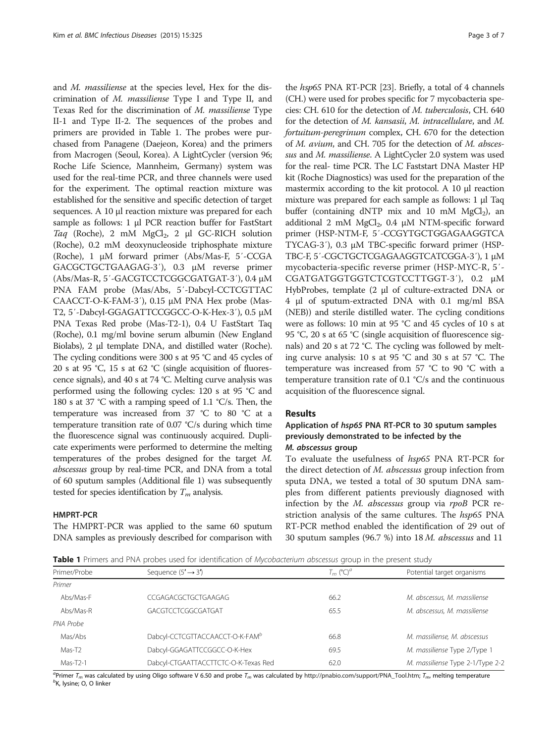<span id="page-2-0"></span>and *M. massiliense* at the species level, Hex for the discrimination of M. massiliense Type I and Type II, and Texas Red for the discrimination of M. massiliense Type II-1 and Type II-2. The sequences of the probes and primers are provided in Table 1. The probes were purchased from Panagene (Daejeon, Korea) and the primers from Macrogen (Seoul, Korea). A LightCycler (version 96; Roche Life Science, Mannheim, Germany) system was used for the real-time PCR, and three channels were used for the experiment. The optimal reaction mixture was established for the sensitive and specific detection of target sequences. A 10 μl reaction mixture was prepared for each sample as follows: 1 μl PCR reaction buffer for FastStart Taq (Roche), 2 mM  $MgCl<sub>2</sub>$ , 2 μl GC-RICH solution (Roche), 0.2 mM deoxynucleoside triphosphate mixture (Roche), 1 μM forward primer (Abs/Mas-F, 5′-CCGA GACGCTGCTGAAGAG-3′), 0.3 μM reverse primer (Abs/Mas-R, 5′-GACGTCCTCGGCGATGAT-3′), 0.4 μM PNA FAM probe (Mas/Abs, 5′-Dabcyl-CCTCGTTAC CAACCT-O-K-FAM-3′), 0.15 μM PNA Hex probe (Mas-T2, 5′-Dabcyl-GGAGATTCCGGCC-O-K-Hex-3′), 0.5 μM PNA Texas Red probe (Mas-T2-1), 0.4 U FastStart Taq (Roche), 0.1 mg/ml bovine serum albumin (New England Biolabs), 2 μl template DNA, and distilled water (Roche). The cycling conditions were 300 s at 95 °C and 45 cycles of 20 s at 95 °C, 15 s at 62 °C (single acquisition of fluorescence signals), and 40 s at 74 °C. Melting curve analysis was performed using the following cycles: 120 s at 95 °C and 180 s at 37 °C with a ramping speed of 1.1 °C/s. Then, the temperature was increased from 37 °C to 80 °C at a temperature transition rate of 0.07 °C/s during which time the fluorescence signal was continuously acquired. Duplicate experiments were performed to determine the melting temperatures of the probes designed for the target M. abscessus group by real-time PCR, and DNA from a total of 60 sputum samples (Additional file [1](#page-5-0)) was subsequently tested for species identification by  $T_m$  analysis.

## HMPRT-PCR

The HMPRT-PCR was applied to the same 60 sputum DNA samples as previously described for comparison with

the hsp65 PNA RT-PCR [\[23\]](#page-6-0). Briefly, a total of 4 channels (CH.) were used for probes specific for 7 mycobacteria species: CH. 610 for the detection of M. tuberculosis, CH. 640 for the detection of M. kansasii, M. intracellulare, and M. fortuitum-peregrinum complex, CH. 670 for the detection of M. avium, and CH. 705 for the detection of M. abscessus and M. massiliense. A LightCycler 2.0 system was used for the real- time PCR. The LC Faststart DNA Master HP kit (Roche Diagnostics) was used for the preparation of the mastermix according to the kit protocol. A 10 μl reaction mixture was prepared for each sample as follows: 1 μl Taq buffer (containing dNTP mix and 10 mM  $MgCl<sub>2</sub>$ ), an additional 2 mM  $MgCl<sub>2</sub>$ , 0.4 μM NTM-specific forward primer (HSP-NTM-F, 5′-CCGYTGCTGGAGAAGGTCA TYCAG-3′), 0.3 μM TBC-specific forward primer (HSP-TBC-F, 5′-CGCTGCTCGAGAAGGTCATCGGA-3′), 1 μM mycobacteria-specific reverse primer (HSP-MYC-R, 5′- CGATGATGGTGGTCTCGTCCTTGGT-3′), 0.2 μM HybProbes, template (2 μl of culture-extracted DNA or 4 μl of sputum-extracted DNA with 0.1 mg/ml BSA (NEB)) and sterile distilled water. The cycling conditions were as follows: 10 min at 95 °C and 45 cycles of 10 s at 95 °C, 20 s at 65 °C (single acquisition of fluorescence signals) and 20 s at 72 °C. The cycling was followed by melting curve analysis: 10 s at 95 °C and 30 s at 57 °C. The temperature was increased from 57 °C to 90 °C with a temperature transition rate of 0.1 °C/s and the continuous acquisition of the fluorescence signal.

## Results

## Application of hsp65 PNA RT-PCR to 30 sputum samples previously demonstrated to be infected by the M. abscessus group

To evaluate the usefulness of hsp65 PNA RT-PCR for the direct detection of M. abscessus group infection from sputa DNA, we tested a total of 30 sputum DNA samples from different patients previously diagnosed with infection by the M. abscessus group via rpoB PCR restriction analysis of the same cultures. The hsp65 PNA RT-PCR method enabled the identification of 29 out of 30 sputum samples (96.7 %) into 18 M. abscessus and 11

**Table 1** Primers and PNA probes used for identification of Mycobacterium abscessus group in the present study

| Primer/Probe | Sequence $(5' \rightarrow 3')$              | $T_m$ (°C) <sup>a</sup> | Potential target organisms       |
|--------------|---------------------------------------------|-------------------------|----------------------------------|
| Primer       |                                             |                         |                                  |
| Abs/Mas-F    | CCGAGACGCTGCTGAAGAG                         | 66.2                    | M. abscessus, M. massiliense     |
| Abs/Mas-R    | GACGTCCTCGGCGATGAT                          | 65.5                    | M. abscessus, M. massiliense     |
| PNA Probe    |                                             |                         |                                  |
| Mas/Abs      | Dabcyl-CCTCGTTACCAACCT-O-K-FAM <sup>b</sup> | 66.8                    | M. massiliense, M. abscessus     |
| Mas-T2       | Dabcyl-GGAGATTCCGGCC-O-K-Hex                | 69.5                    | M. massiliense Type 2/Type 1     |
| Mas-T2-1     | Dabcyl-CTGAATTACCTTCTC-O-K-Texas Red        | 62.0                    | M. massiliense Type 2-1/Type 2-2 |

<sup>a</sup>Primer T<sub>m</sub> was calculated by using Oligo software V 6.50 and probe T<sub>m</sub> was calculated by [http://pnabio.com/support/PNA\\_Tool.htm;](http://pnabio.com/support/PNA_Tool.htm) T<sub>m</sub>, melting temperature<br><sup>b</sup>K\_hrsine: O\_O\_linker  ${}^b$ K, lysine; O, O linker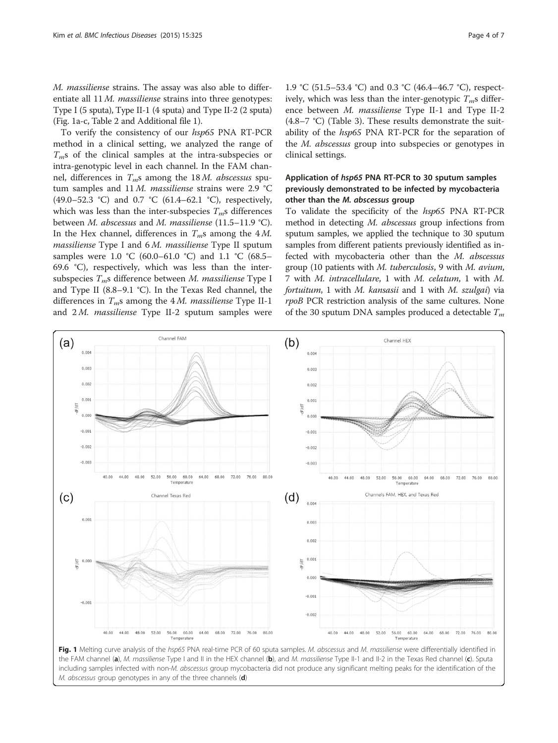<span id="page-3-0"></span>M. massiliense strains. The assay was also able to differentiate all 11 M. massiliense strains into three genotypes: Type I (5 sputa), Type II-1 (4 sputa) and Type II-2 (2 sputa) (Fig. 1a-c, Table [2](#page-4-0) and Additional file [1](#page-5-0)).

To verify the consistency of our hsp65 PNA RT-PCR method in a clinical setting, we analyzed the range of  $T<sub>m</sub>$ s of the clinical samples at the intra-subspecies or intra-genotypic level in each channel. In the FAM channel, differences in  $T_{m}$ s among the 18 M. abscessus sputum samples and 11 M. massiliense strains were 2.9 °C (49.0–52.3 °C) and 0.7 °C (61.4–62.1 °C), respectively, which was less than the inter-subspecies  $T_{m}$ s differences between M. abscessus and M. massiliense (11.5–11.9 °C). In the Hex channel, differences in  $T_m$ s among the 4 M. massiliense Type I and 6 M. massiliense Type II sputum samples were 1.0 °C (60.0–61.0 °C) and 1.1 °C (68.5– 69.6 °C), respectively, which was less than the intersubspecies  $T_{m}$ s difference between M. massiliense Type I and Type II (8.8–9.1 °C). In the Texas Red channel, the differences in  $T_{m}$ s among the 4 M. massiliense Type II-1 and  $2M$ . *massiliense* Type II-2 sputum samples were

1.9 °C (51.5–53.4 °C) and 0.3 °C (46.4–46.7 °C), respectively, which was less than the inter-genotypic  $T_m$ s difference between M. massiliense Type II-1 and Type II-2 (4.8–7 °C) (Table [3\)](#page-4-0). These results demonstrate the suitability of the hsp65 PNA RT-PCR for the separation of the M. abscessus group into subspecies or genotypes in clinical settings.

## Application of hsp65 PNA RT-PCR to 30 sputum samples previously demonstrated to be infected by mycobacteria other than the M. abscessus group

To validate the specificity of the hsp65 PNA RT-PCR method in detecting M. abscessus group infections from sputum samples, we applied the technique to 30 sputum samples from different patients previously identified as infected with mycobacteria other than the M. abscessus group (10 patients with  $M$ . tuberculosis, 9 with  $M$ . avium, 7 with M. intracellulare, 1 with M. celatum, 1 with M. fortuitum, 1 with M. kansasii and 1 with M. szulgai) via rpoB PCR restriction analysis of the same cultures. None of the 30 sputum DNA samples produced a detectable  $T_m$ 



the FAM channel (a), M. massiliense Type I and II in the HEX channel (b), and M. massiliense Type II-1 and II-2 in the Texas Red channel (c). Sputa including samples infected with non-M. abscessus group mycobacteria did not produce any significant melting peaks for the identification of the M. abscessus group genotypes in any of the three channels (d)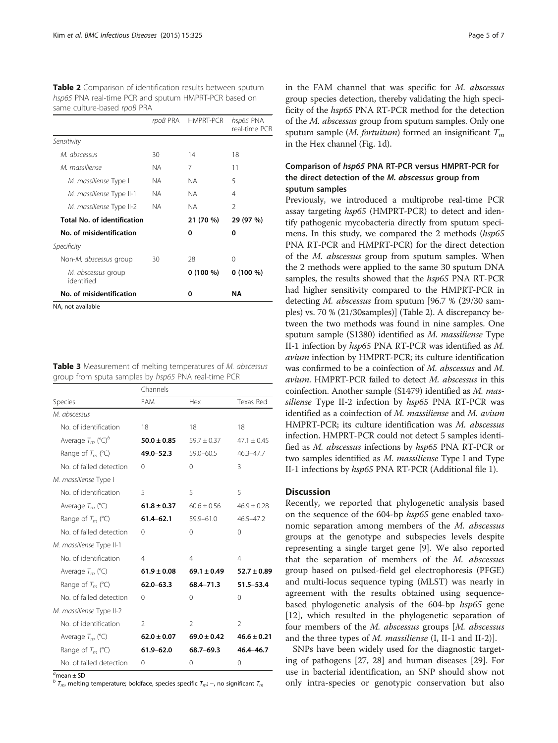<span id="page-4-0"></span>Table 2 Comparison of identification results between sputum hsp65 PNA real-time PCR and sputum HMPRT-PCR based on same culture-based rpoB PRA

|                                    |     | rpoB PRA HMPRT-PCR | hsp65 PNA<br>real-time PCR |
|------------------------------------|-----|--------------------|----------------------------|
| Sensitivity                        |     |                    |                            |
| M. abscessus                       | 30  | 14                 | 18                         |
| M. massiliense                     | NA. | 7                  | 11                         |
| M. massiliense Type I              | ΝA  | NА                 | 5                          |
| M. massiliense Type II-1           | NA. | <b>NA</b>          | 4                          |
| M. massiliense Type II-2           | NA. | <b>NA</b>          | $\mathcal{P}$              |
| <b>Total No. of identification</b> |     | 21 (70 %)          | 29 (97 %)                  |
| No. of misidentification           |     | 0                  | 0                          |
| Specificity                        |     |                    |                            |
| Non-M. abscessus group             | 30  | 28                 | 0                          |
| M. abscessus group<br>identified   |     | $0(100\%)$         | $0(100\%)$                 |
| No. of misidentification           |     | 0                  | ΝA                         |
| NA, not available                  |     |                    |                            |

|  |                                                     |  |  | <b>Table 3</b> Measurement of melting temperatures of M. abscessus |
|--|-----------------------------------------------------|--|--|--------------------------------------------------------------------|
|  | group from sputa samples by hsp65 PNA real-time PCR |  |  |                                                                    |

|                                 | Channels        |                 |                 |  |
|---------------------------------|-----------------|-----------------|-----------------|--|
| Species                         | <b>FAM</b>      | Hex             | Texas Red       |  |
| M. abscessus                    |                 |                 |                 |  |
| No. of identification           | 18              | 18              | 18              |  |
| Average $T_m$ (°C) <sup>b</sup> | $50.0 \pm 0.85$ | $59.7 \pm 0.37$ | $47.1 + 0.45$   |  |
| Range of $T_m$ (°C)             | 49.0-52.3       | $59.0 - 60.5$   | 46.3-47.7       |  |
| No. of failed detection         | $\Omega$        | $\Omega$        | 3               |  |
| M. massiliense Type I           |                 |                 |                 |  |
| No. of identification           | 5               | 5               | 5               |  |
| Average $T_m$ (°C)              | $61.8 \pm 0.37$ | $60.6 + 0.56$   | $46.9 + 0.28$   |  |
| Range of $T_m$ (°C)             | $61.4 - 62.1$   | $59.9 - 61.0$   | $46.5 - 47.2$   |  |
| No. of failed detection         | 0               | $\Omega$        | $\Omega$        |  |
| M. massiliense Type II-1        |                 |                 |                 |  |
| No. of identification           | 4               | 4               | $\overline{4}$  |  |
| Average $T_m$ (°C)              | $61.9 \pm 0.08$ | $69.1 \pm 0.49$ | $52.7 \pm 0.89$ |  |
| Range of $T_m$ (°C)             | $62.0 - 63.3$   | 68.4-71.3       | $51.5 - 53.4$   |  |
| No. of failed detection         | $\Omega$        | $\Omega$        | $\Omega$        |  |
| M. massiliense Type II-2        |                 |                 |                 |  |
| No. of identification           | $\mathcal{P}$   | $\mathcal{P}$   | $\mathfrak{D}$  |  |
| Average $T_m$ (°C)              | $62.0 \pm 0.07$ | $69.0 \pm 0.42$ | $46.6 \pm 0.21$ |  |
| Range of $T_m$ (°C)             | $61.9 - 62.0$   | 68.7-69.3       | 46.4-46.7       |  |
| No. of failed detection         | $\Omega$        | $\Omega$        | $\Omega$        |  |

 $a$ mean  $\pm$  SD

 $b T_m$ , melting temperature; boldface, species specific  $T_m$ ; –, no significant  $T_m$ 

in the FAM channel that was specific for M. abscessus group species detection, thereby validating the high specificity of the hsp65 PNA RT-PCR method for the detection of the M. abscessus group from sputum samples. Only one sputum sample (*M. fortuitum*) formed an insignificant  $T_m$ in the Hex channel (Fig. [1d](#page-3-0)).

## Comparison of hsp65 PNA RT-PCR versus HMPRT-PCR for the direct detection of the M. abscessus group from sputum samples

Previously, we introduced a multiprobe real-time PCR assay targeting hsp65 (HMPRT-PCR) to detect and identify pathogenic mycobacteria directly from sputum specimens. In this study, we compared the 2 methods (hsp65 PNA RT-PCR and HMPRT-PCR) for the direct detection of the M. abscessus group from sputum samples. When the 2 methods were applied to the same 30 sputum DNA samples, the results showed that the hsp65 PNA RT-PCR had higher sensitivity compared to the HMPRT-PCR in detecting M. abscessus from sputum [96.7 % (29/30 samples) vs. 70 % (21/30samples)] (Table 2). A discrepancy between the two methods was found in nine samples. One sputum sample (S1380) identified as M. massiliense Type II-1 infection by hsp65 PNA RT-PCR was identified as M. avium infection by HMPRT-PCR; its culture identification was confirmed to be a coinfection of M. abscessus and M. avium. HMPRT-PCR failed to detect M. abscessus in this coinfection. Another sample (S1479) identified as M. massiliense Type II-2 infection by hsp65 PNA RT-PCR was identified as a coinfection of M. massiliense and M. avium HMPRT-PCR; its culture identification was M. abscessus infection. HMPRT-PCR could not detect 5 samples identified as M. abscessus infections by hsp65 PNA RT-PCR or two samples identified as M. massiliense Type I and Type II-1 infections by hsp65 PNA RT-PCR (Additional file [1\)](#page-5-0).

### **Discussion**

Recently, we reported that phylogenetic analysis based on the sequence of the 604-bp hsp65 gene enabled taxonomic separation among members of the M. abscessus groups at the genotype and subspecies levels despite representing a single target gene [\[9](#page-6-0)]. We also reported that the separation of members of the M. abscessus group based on pulsed-field gel electrophoresis (PFGE) and multi-locus sequence typing (MLST) was nearly in agreement with the results obtained using sequencebased phylogenetic analysis of the 604-bp hsp65 gene [[12\]](#page-6-0), which resulted in the phylogenetic separation of four members of the M. abscessus groups [M. abscessus and the three types of *M. massiliense* (I, II-1 and II-2)].

SNPs have been widely used for the diagnostic targeting of pathogens [[27, 28\]](#page-6-0) and human diseases [[29](#page-6-0)]. For use in bacterial identification, an SNP should show not only intra-species or genotypic conservation but also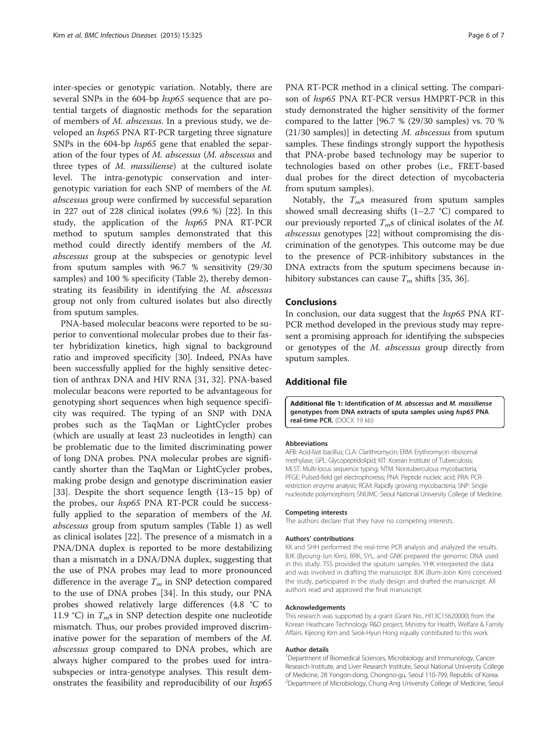<span id="page-5-0"></span>inter-species or genotypic variation. Notably, there are several SNPs in the 604-bp hsp65 sequence that are potential targets of diagnostic methods for the separation of members of M. abscessus. In a previous study, we developed an hsp65 PNA RT-PCR targeting three signature SNPs in the 604-bp hsp65 gene that enabled the separation of the four types of M. abscessus (M. abscessus and three types of M. massiliense) at the cultured isolate level. The intra-genotypic conservation and intergenotypic variation for each SNP of members of the M. abscessus group were confirmed by successful separation in 227 out of 228 clinical isolates (99.6 %) [[22\]](#page-6-0). In this study, the application of the hsp65 PNA RT-PCR method to sputum samples demonstrated that this method could directly identify members of the M. abscessus group at the subspecies or genotypic level from sputum samples with 96.7 % sensitivity (29/30 samples) and 100 % specificity (Table [2\)](#page-4-0), thereby demonstrating its feasibility in identifying the M. abscessus group not only from cultured isolates but also directly from sputum samples.

PNA-based molecular beacons were reported to be superior to conventional molecular probes due to their faster hybridization kinetics, high signal to background ratio and improved specificity [\[30](#page-6-0)]. Indeed, PNAs have been successfully applied for the highly sensitive detection of anthrax DNA and HIV RNA [[31, 32\]](#page-6-0). PNA-based molecular beacons were reported to be advantageous for genotyping short sequences when high sequence specificity was required. The typing of an SNP with DNA probes such as the TaqMan or LightCycler probes (which are usually at least 23 nucleotides in length) can be problematic due to the limited discriminating power of long DNA probes. PNA molecular probes are significantly shorter than the TaqMan or LightCycler probes, making probe design and genotype discrimination easier [[33\]](#page-6-0). Despite the short sequence length (13–15 bp) of the probes, our hsp65 PNA RT-PCR could be successfully applied to the separation of members of the M. abscessus group from sputum samples (Table [1](#page-2-0)) as well as clinical isolates [\[22](#page-6-0)]. The presence of a mismatch in a PNA/DNA duplex is reported to be more destabilizing than a mismatch in a DNA/DNA duplex, suggesting that the use of PNA probes may lead to more pronounced difference in the average  $T_m$  in SNP detection compared to the use of DNA probes [[34](#page-6-0)]. In this study, our PNA probes showed relatively large differences (4.8 °C to 11.9 °C) in  $T_{m}$ s in SNP detection despite one nucleotide mismatch. Thus, our probes provided improved discriminative power for the separation of members of the M. abscessus group compared to DNA probes, which are always higher compared to the probes used for intrasubspecies or intra-genotype analyses. This result demonstrates the feasibility and reproducibility of our hsp65 PNA RT-PCR method in a clinical setting. The comparison of hsp65 PNA RT-PCR versus HMPRT-PCR in this study demonstrated the higher sensitivity of the former compared to the latter [96.7 % (29/30 samples) vs. 70 %  $(21/30 \text{ samples})$ ] in detecting *M. abscessus* from sputum samples. These findings strongly support the hypothesis that PNA-probe based technology may be superior to technologies based on other probes (i.e., FRET-based dual probes for the direct detection of mycobacteria from sputum samples).

Notably, the  $T_{m}$ s measured from sputum samples showed small decreasing shifts  $(1-2.7 \degree C)$  compared to our previously reported  $T_m$ s of clinical isolates of the M. abscessus genotypes [\[22\]](#page-6-0) without compromising the discrimination of the genotypes. This outcome may be due to the presence of PCR-inhibitory substances in the DNA extracts from the sputum specimens because inhibitory substances can cause  $T_m$  shifts [[35, 36\]](#page-6-0).

## **Conclusions**

In conclusion, our data suggest that the hsp65 PNA RT-PCR method developed in the previous study may represent a promising approach for identifying the subspecies or genotypes of the M. abscessus group directly from sputum samples.

## Additional file

[Additional file 1:](http://www.biomedcentral.com/content/supplementary/s12879-015-1076-8-s1.docx) Identification of M. abscessus and M. massiliense genotypes from DNA extracts of sputa samples using hsp65 PNA real-time PCR. (DOCX 19 kb)

#### Abbreviations

AFB: Acid-fast bacillus; CLA: Clarithromycin; ERM: Erythromycin ribosomal methylase; GPL: Glycopeptidolipid; KIT: Korean Institute of Tuberculosis; MLST: Multi-locus sequence typing; NTM: Nontuberculous mycobacteria; PFGE: Pulsed-field gel electrophoresis; PNA: Peptide nucleic acid; PRA: PCRrestriction enzyme analysis; RGM: Rapidly growing mycobacteria; SNP: Single nucleotide polymorphism; SNUMC: Seoul National University College of Medicine.

#### Competing interests

The authors declare that they have no competing interests.

#### Authors' contributions

KK and SHH performed the real-time PCR analysis and analyzed the results. BJK (Byoung-Jun Kim), BRK, SYL, and GNK prepared the genomic DNA used in this study. TSS provided the sputum samples. YHK interpreted the data and was involved in drafting the manuscript. BJK (Bum-Joon Kim) conceived the study, participated in the study design and drafted the manuscript. All authors read and approved the final manuscript.

#### Acknowledgements

This research was supported by a grant (Grant No., HI13C15620000) from the Korean Heathcare Technology R&D project, Ministry for Health, Welfare & Family Affairs. Kijeong Kim and Seok-Hyun Hong equally contributed to this work.

#### Author details

<sup>1</sup>Department of Biomedical Sciences, Microbiology and Immunology, Cancer Research Institute, and Liver Research Institute, Seoul National University College of Medicine, 28 Yongon-dong, Chongno-gu, Seoul 110-799, Republic of Korea. <sup>2</sup>Department of Microbiology, Chung-Ang University College of Medicine, Seoul